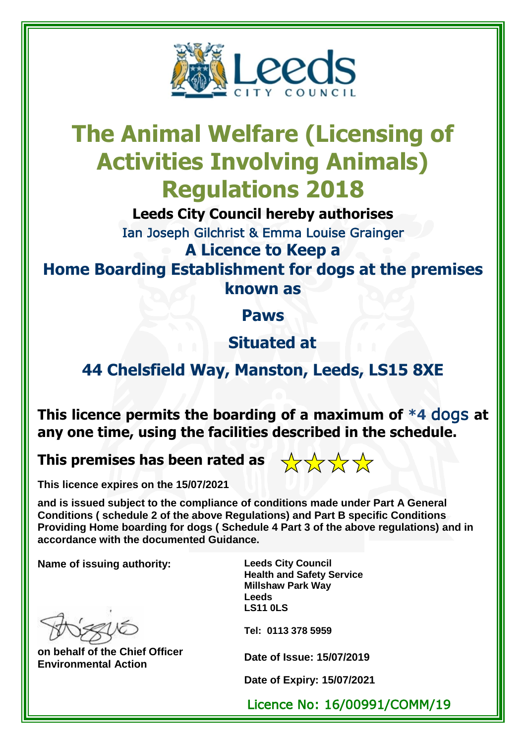

## **The Animal Welfare (Licensing of Activities Involving Animals) Regulations 2018**

**Leeds City Council hereby authorises**

Ian Joseph Gilchrist & Emma Louise Grainger **A Licence to Keep a**

**Home Boarding Establishment for dogs at the premises known as** 

**Paws**

**Situated at** 

## **44 Chelsfield Way, Manston, Leeds, LS15 8XE**

**This licence permits the boarding of a maximum of \*4** dogs **at any one time, using the facilities described in the schedule.**

**This premises has been rated as** 



**This licence expires on the 15/07/2021**

**and is issued subject to the compliance of conditions made under Part A General Conditions ( schedule 2 of the above Regulations) and Part B specific Conditions Providing Home boarding for dogs ( Schedule 4 Part 3 of the above regulations) and in accordance with the documented Guidance.** 

**Name of issuing authority: Leeds City Council**

**on behalf of the Chief Officer Environmental Action Date of Issue: 15/07/2019**

**Health and Safety Service Millshaw Park Way Leeds LS11 0LS**

**Tel: 0113 378 5959**

**Date of Expiry: 15/07/2021**

Licence No: 16/00991/COMM/19